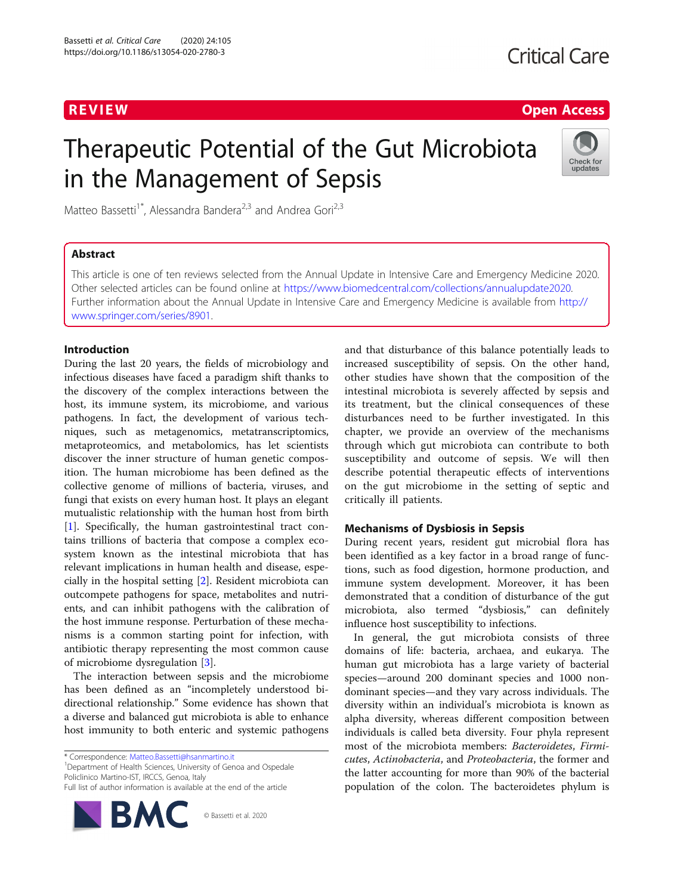

# Therapeutic Potential of the Gut Microbiota in the Management of Sepsis



Matteo Bassetti<sup>1\*</sup>, Alessandra Bandera<sup>2,3</sup> and Andrea Gori<sup>2,3</sup>

# Abstract

This article is one of ten reviews selected from the Annual Update in Intensive Care and Emergency Medicine 2020. Other selected articles can be found online at [https://www.biomedcentral.com/collections/annualupdate2020.](https://www.biomedcentral.com/collections/annualupdate2020) Further information about the Annual Update in Intensive Care and Emergency Medicine is available from [http://](http://www.springer.com/series/8901) [www.springer.com/series/8901](http://www.springer.com/series/8901).

# Introduction

During the last 20 years, the fields of microbiology and infectious diseases have faced a paradigm shift thanks to the discovery of the complex interactions between the host, its immune system, its microbiome, and various pathogens. In fact, the development of various techniques, such as metagenomics, metatranscriptomics, metaproteomics, and metabolomics, has let scientists discover the inner structure of human genetic composition. The human microbiome has been defined as the collective genome of millions of bacteria, viruses, and fungi that exists on every human host. It plays an elegant mutualistic relationship with the human host from birth [[1\]](#page-5-0). Specifically, the human gastrointestinal tract contains trillions of bacteria that compose a complex ecosystem known as the intestinal microbiota that has relevant implications in human health and disease, especially in the hospital setting [\[2](#page-6-0)]. Resident microbiota can outcompete pathogens for space, metabolites and nutrients, and can inhibit pathogens with the calibration of the host immune response. Perturbation of these mechanisms is a common starting point for infection, with antibiotic therapy representing the most common cause of microbiome dysregulation [[3\]](#page-6-0).

The interaction between sepsis and the microbiome has been defined as an "incompletely understood bidirectional relationship." Some evidence has shown that a diverse and balanced gut microbiota is able to enhance host immunity to both enteric and systemic pathogens

\* Correspondence: [Matteo.Bassetti@hsanmartino.it](mailto:Matteo.Bassetti@hsanmartino.it) <sup>1</sup>

<sup>1</sup>Department of Health Sciences, University of Genoa and Ospedale Policlinico Martino-IST, IRCCS, Genoa, Italy

Full list of author information is available at the end of the article



© Bassetti et al. 2020

and that disturbance of this balance potentially leads to increased susceptibility of sepsis. On the other hand, other studies have shown that the composition of the intestinal microbiota is severely affected by sepsis and its treatment, but the clinical consequences of these disturbances need to be further investigated. In this chapter, we provide an overview of the mechanisms through which gut microbiota can contribute to both susceptibility and outcome of sepsis. We will then describe potential therapeutic effects of interventions on the gut microbiome in the setting of septic and critically ill patients.

# Mechanisms of Dysbiosis in Sepsis

During recent years, resident gut microbial flora has been identified as a key factor in a broad range of functions, such as food digestion, hormone production, and immune system development. Moreover, it has been demonstrated that a condition of disturbance of the gut microbiota, also termed "dysbiosis," can definitely influence host susceptibility to infections.

In general, the gut microbiota consists of three domains of life: bacteria, archaea, and eukarya. The human gut microbiota has a large variety of bacterial species—around 200 dominant species and 1000 nondominant species—and they vary across individuals. The diversity within an individual's microbiota is known as alpha diversity, whereas different composition between individuals is called beta diversity. Four phyla represent most of the microbiota members: Bacteroidetes, Firmicutes, Actinobacteria, and Proteobacteria, the former and the latter accounting for more than 90% of the bacterial population of the colon. The bacteroidetes phylum is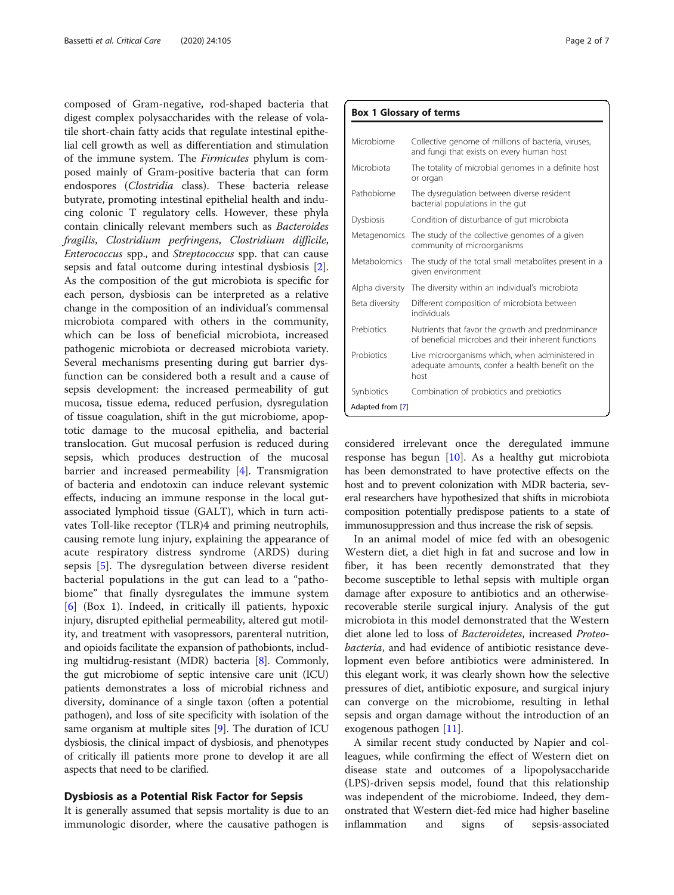composed of Gram-negative, rod-shaped bacteria that digest complex polysaccharides with the release of volatile short-chain fatty acids that regulate intestinal epithelial cell growth as well as differentiation and stimulation of the immune system. The Firmicutes phylum is composed mainly of Gram-positive bacteria that can form endospores (Clostridia class). These bacteria release butyrate, promoting intestinal epithelial health and inducing colonic T regulatory cells. However, these phyla contain clinically relevant members such as Bacteroides fragilis, Clostridium perfringens, Clostridium difficile, Enterococcus spp., and Streptococcus spp. that can cause sepsis and fatal outcome during intestinal dysbiosis [\[2](#page-6-0)]. As the composition of the gut microbiota is specific for each person, dysbiosis can be interpreted as a relative change in the composition of an individual's commensal microbiota compared with others in the community, which can be loss of beneficial microbiota, increased pathogenic microbiota or decreased microbiota variety. Several mechanisms presenting during gut barrier dysfunction can be considered both a result and a cause of sepsis development: the increased permeability of gut mucosa, tissue edema, reduced perfusion, dysregulation of tissue coagulation, shift in the gut microbiome, apoptotic damage to the mucosal epithelia, and bacterial translocation. Gut mucosal perfusion is reduced during sepsis, which produces destruction of the mucosal barrier and increased permeability [[4\]](#page-6-0). Transmigration of bacteria and endotoxin can induce relevant systemic effects, inducing an immune response in the local gutassociated lymphoid tissue (GALT), which in turn activates Toll-like receptor (TLR)4 and priming neutrophils, causing remote lung injury, explaining the appearance of acute respiratory distress syndrome (ARDS) during sepsis [\[5](#page-6-0)]. The dysregulation between diverse resident bacterial populations in the gut can lead to a "pathobiome" that finally dysregulates the immune system [[6\]](#page-6-0) (Box 1). Indeed, in critically ill patients, hypoxic injury, disrupted epithelial permeability, altered gut motility, and treatment with vasopressors, parenteral nutrition, and opioids facilitate the expansion of pathobionts, including multidrug-resistant (MDR) bacteria [[8](#page-6-0)]. Commonly, the gut microbiome of septic intensive care unit (ICU) patients demonstrates a loss of microbial richness and diversity, dominance of a single taxon (often a potential pathogen), and loss of site specificity with isolation of the same organism at multiple sites [\[9\]](#page-6-0). The duration of ICU dysbiosis, the clinical impact of dysbiosis, and phenotypes of critically ill patients more prone to develop it are all aspects that need to be clarified.

# Dysbiosis as a Potential Risk Factor for Sepsis

It is generally assumed that sepsis mortality is due to an immunologic disorder, where the causative pathogen is

## Box 1 Glossary of terms

| Microbiome          | Collective genome of millions of bacteria, viruses,<br>and fungi that exists on every human host            |  |  |
|---------------------|-------------------------------------------------------------------------------------------------------------|--|--|
| Microbiota          | The totality of microbial genomes in a definite host<br>or organ                                            |  |  |
| Pathobiome          | The dysregulation between diverse resident<br>bacterial populations in the gut                              |  |  |
| <b>Dysbiosis</b>    | Condition of disturbance of gut microbiota                                                                  |  |  |
| <b>Metagenomics</b> | The study of the collective genomes of a given<br>community of microorganisms                               |  |  |
| <b>Metabolomics</b> | The study of the total small metabolites present in a<br>given environment                                  |  |  |
| Alpha diversity     | The diversity within an individual's microbiota                                                             |  |  |
| Beta diversity      | Different composition of microbiota between<br>individuals                                                  |  |  |
| Prebiotics          | Nutrients that favor the growth and predominance<br>of beneficial microbes and their inherent functions     |  |  |
| Probiotics          | Live microorganisms which, when administered in<br>adequate amounts, confer a health benefit on the<br>host |  |  |
| Synbiotics          | Combination of probiotics and prebiotics                                                                    |  |  |
| Adapted from [7]    |                                                                                                             |  |  |

considered irrelevant once the deregulated immune response has begun  $[10]$  $[10]$ . As a healthy gut microbiota has been demonstrated to have protective effects on the host and to prevent colonization with MDR bacteria, several researchers have hypothesized that shifts in microbiota composition potentially predispose patients to a state of immunosuppression and thus increase the risk of sepsis.

In an animal model of mice fed with an obesogenic Western diet, a diet high in fat and sucrose and low in fiber, it has been recently demonstrated that they become susceptible to lethal sepsis with multiple organ damage after exposure to antibiotics and an otherwiserecoverable sterile surgical injury. Analysis of the gut microbiota in this model demonstrated that the Western diet alone led to loss of Bacteroidetes, increased Proteobacteria, and had evidence of antibiotic resistance development even before antibiotics were administered. In this elegant work, it was clearly shown how the selective pressures of diet, antibiotic exposure, and surgical injury can converge on the microbiome, resulting in lethal sepsis and organ damage without the introduction of an exogenous pathogen [[11](#page-6-0)].

A similar recent study conducted by Napier and colleagues, while confirming the effect of Western diet on disease state and outcomes of a lipopolysaccharide (LPS)-driven sepsis model, found that this relationship was independent of the microbiome. Indeed, they demonstrated that Western diet-fed mice had higher baseline inflammation and signs of sepsis-associated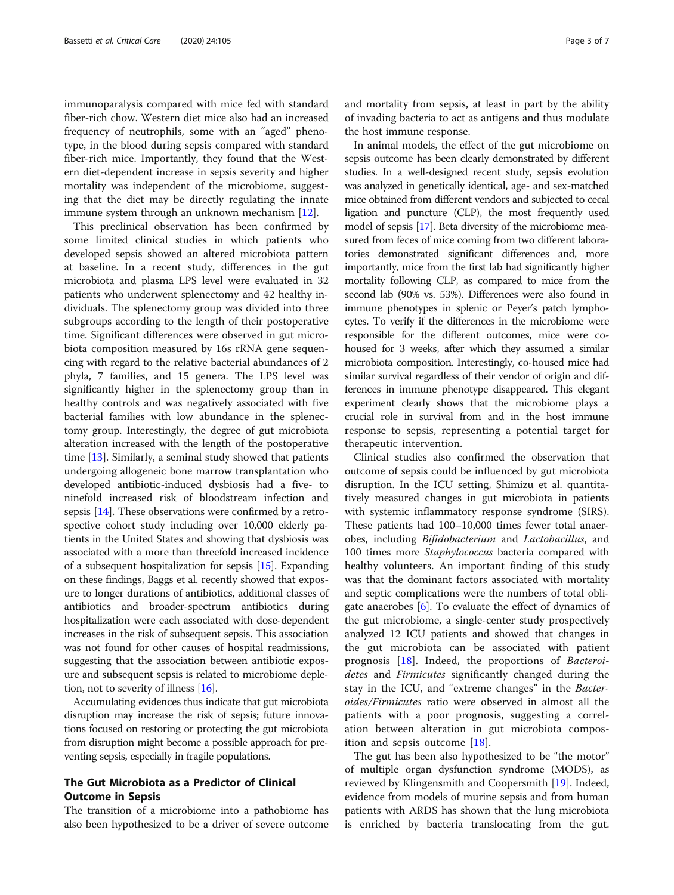immunoparalysis compared with mice fed with standard fiber-rich chow. Western diet mice also had an increased frequency of neutrophils, some with an "aged" phenotype, in the blood during sepsis compared with standard fiber-rich mice. Importantly, they found that the Western diet-dependent increase in sepsis severity and higher mortality was independent of the microbiome, suggesting that the diet may be directly regulating the innate immune system through an unknown mechanism [[12\]](#page-6-0).

This preclinical observation has been confirmed by some limited clinical studies in which patients who developed sepsis showed an altered microbiota pattern at baseline. In a recent study, differences in the gut microbiota and plasma LPS level were evaluated in 32 patients who underwent splenectomy and 42 healthy individuals. The splenectomy group was divided into three subgroups according to the length of their postoperative time. Significant differences were observed in gut microbiota composition measured by 16s rRNA gene sequencing with regard to the relative bacterial abundances of 2 phyla, 7 families, and 15 genera. The LPS level was significantly higher in the splenectomy group than in healthy controls and was negatively associated with five bacterial families with low abundance in the splenectomy group. Interestingly, the degree of gut microbiota alteration increased with the length of the postoperative time [[13\]](#page-6-0). Similarly, a seminal study showed that patients undergoing allogeneic bone marrow transplantation who developed antibiotic-induced dysbiosis had a five- to ninefold increased risk of bloodstream infection and sepsis [\[14](#page-6-0)]. These observations were confirmed by a retrospective cohort study including over 10,000 elderly patients in the United States and showing that dysbiosis was associated with a more than threefold increased incidence of a subsequent hospitalization for sepsis [[15](#page-6-0)]. Expanding on these findings, Baggs et al. recently showed that exposure to longer durations of antibiotics, additional classes of antibiotics and broader-spectrum antibiotics during hospitalization were each associated with dose-dependent increases in the risk of subsequent sepsis. This association was not found for other causes of hospital readmissions, suggesting that the association between antibiotic exposure and subsequent sepsis is related to microbiome depletion, not to severity of illness  $[16]$  $[16]$  $[16]$ .

Accumulating evidences thus indicate that gut microbiota disruption may increase the risk of sepsis; future innovations focused on restoring or protecting the gut microbiota from disruption might become a possible approach for preventing sepsis, especially in fragile populations.

# The Gut Microbiota as a Predictor of Clinical Outcome in Sepsis

The transition of a microbiome into a pathobiome has also been hypothesized to be a driver of severe outcome and mortality from sepsis, at least in part by the ability of invading bacteria to act as antigens and thus modulate the host immune response.

In animal models, the effect of the gut microbiome on sepsis outcome has been clearly demonstrated by different studies. In a well-designed recent study, sepsis evolution was analyzed in genetically identical, age- and sex-matched mice obtained from different vendors and subjected to cecal ligation and puncture (CLP), the most frequently used model of sepsis [[17](#page-6-0)]. Beta diversity of the microbiome measured from feces of mice coming from two different laboratories demonstrated significant differences and, more importantly, mice from the first lab had significantly higher mortality following CLP, as compared to mice from the second lab (90% vs. 53%). Differences were also found in immune phenotypes in splenic or Peyer's patch lymphocytes. To verify if the differences in the microbiome were responsible for the different outcomes, mice were cohoused for 3 weeks, after which they assumed a similar microbiota composition. Interestingly, co-housed mice had similar survival regardless of their vendor of origin and differences in immune phenotype disappeared. This elegant experiment clearly shows that the microbiome plays a crucial role in survival from and in the host immune response to sepsis, representing a potential target for therapeutic intervention.

Clinical studies also confirmed the observation that outcome of sepsis could be influenced by gut microbiota disruption. In the ICU setting, Shimizu et al. quantitatively measured changes in gut microbiota in patients with systemic inflammatory response syndrome (SIRS). These patients had 100–10,000 times fewer total anaerobes, including Bifidobacterium and Lactobacillus, and 100 times more Staphylococcus bacteria compared with healthy volunteers. An important finding of this study was that the dominant factors associated with mortality and septic complications were the numbers of total obligate anaerobes  $[6]$  $[6]$ . To evaluate the effect of dynamics of the gut microbiome, a single-center study prospectively analyzed 12 ICU patients and showed that changes in the gut microbiota can be associated with patient prognosis [\[18](#page-6-0)]. Indeed, the proportions of Bacteroidetes and Firmicutes significantly changed during the stay in the ICU, and "extreme changes" in the Bacteroides/Firmicutes ratio were observed in almost all the patients with a poor prognosis, suggesting a correlation between alteration in gut microbiota composition and sepsis outcome [[18\]](#page-6-0).

The gut has been also hypothesized to be "the motor" of multiple organ dysfunction syndrome (MODS), as reviewed by Klingensmith and Coopersmith [[19](#page-6-0)]. Indeed, evidence from models of murine sepsis and from human patients with ARDS has shown that the lung microbiota is enriched by bacteria translocating from the gut.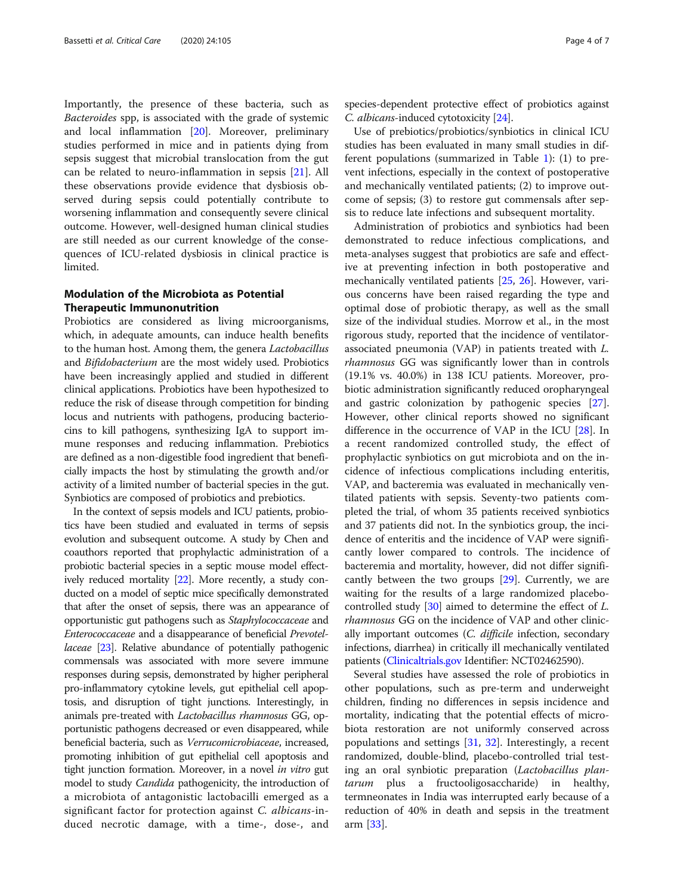Importantly, the presence of these bacteria, such as Bacteroides spp, is associated with the grade of systemic and local inflammation [\[20](#page-6-0)]. Moreover, preliminary studies performed in mice and in patients dying from sepsis suggest that microbial translocation from the gut can be related to neuro-inflammation in sepsis [[21](#page-6-0)]. All these observations provide evidence that dysbiosis observed during sepsis could potentially contribute to worsening inflammation and consequently severe clinical outcome. However, well-designed human clinical studies are still needed as our current knowledge of the consequences of ICU-related dysbiosis in clinical practice is limited.

# Modulation of the Microbiota as Potential Therapeutic Immunonutrition

Probiotics are considered as living microorganisms, which, in adequate amounts, can induce health benefits to the human host. Among them, the genera Lactobacillus and Bifidobacterium are the most widely used. Probiotics have been increasingly applied and studied in different clinical applications. Probiotics have been hypothesized to reduce the risk of disease through competition for binding locus and nutrients with pathogens, producing bacteriocins to kill pathogens, synthesizing IgA to support immune responses and reducing inflammation. Prebiotics are defined as a non-digestible food ingredient that beneficially impacts the host by stimulating the growth and/or activity of a limited number of bacterial species in the gut. Synbiotics are composed of probiotics and prebiotics.

In the context of sepsis models and ICU patients, probiotics have been studied and evaluated in terms of sepsis evolution and subsequent outcome. A study by Chen and coauthors reported that prophylactic administration of a probiotic bacterial species in a septic mouse model effectively reduced mortality [\[22](#page-6-0)]. More recently, a study conducted on a model of septic mice specifically demonstrated that after the onset of sepsis, there was an appearance of opportunistic gut pathogens such as Staphylococcaceae and Enterococcaceae and a disappearance of beneficial Prevotellaceae [[23](#page-6-0)]. Relative abundance of potentially pathogenic commensals was associated with more severe immune responses during sepsis, demonstrated by higher peripheral pro-inflammatory cytokine levels, gut epithelial cell apoptosis, and disruption of tight junctions. Interestingly, in animals pre-treated with Lactobacillus rhamnosus GG, opportunistic pathogens decreased or even disappeared, while beneficial bacteria, such as Verrucomicrobiaceae, increased, promoting inhibition of gut epithelial cell apoptosis and tight junction formation. Moreover, in a novel in vitro gut model to study *Candida* pathogenicity, the introduction of a microbiota of antagonistic lactobacilli emerged as a significant factor for protection against C. albicans-induced necrotic damage, with a time-, dose-, and species-dependent protective effect of probiotics against C. albicans-induced cytotoxicity [[24](#page-6-0)].

Use of prebiotics/probiotics/synbiotics in clinical ICU studies has been evaluated in many small studies in different populations (summarized in Table [1](#page-4-0)): (1) to prevent infections, especially in the context of postoperative and mechanically ventilated patients; (2) to improve outcome of sepsis; (3) to restore gut commensals after sepsis to reduce late infections and subsequent mortality.

Administration of probiotics and synbiotics had been demonstrated to reduce infectious complications, and meta-analyses suggest that probiotics are safe and effective at preventing infection in both postoperative and mechanically ventilated patients [\[25](#page-6-0), [26\]](#page-6-0). However, various concerns have been raised regarding the type and optimal dose of probiotic therapy, as well as the small size of the individual studies. Morrow et al., in the most rigorous study, reported that the incidence of ventilatorassociated pneumonia (VAP) in patients treated with L. rhamnosus GG was significantly lower than in controls (19.1% vs. 40.0%) in 138 ICU patients. Moreover, probiotic administration significantly reduced oropharyngeal and gastric colonization by pathogenic species [\[27](#page-6-0)]. However, other clinical reports showed no significant difference in the occurrence of VAP in the ICU [\[28](#page-6-0)]. In a recent randomized controlled study, the effect of prophylactic synbiotics on gut microbiota and on the incidence of infectious complications including enteritis, VAP, and bacteremia was evaluated in mechanically ventilated patients with sepsis. Seventy-two patients completed the trial, of whom 35 patients received synbiotics and 37 patients did not. In the synbiotics group, the incidence of enteritis and the incidence of VAP were significantly lower compared to controls. The incidence of bacteremia and mortality, however, did not differ significantly between the two groups [[29](#page-6-0)]. Currently, we are waiting for the results of a large randomized placebocontrolled study [[30\]](#page-6-0) aimed to determine the effect of L. rhamnosus GG on the incidence of VAP and other clinically important outcomes (C. difficile infection, secondary infections, diarrhea) in critically ill mechanically ventilated patients ([Clinicaltrials.gov](http://clinicaltrials.gov) Identifier: NCT02462590).

Several studies have assessed the role of probiotics in other populations, such as pre-term and underweight children, finding no differences in sepsis incidence and mortality, indicating that the potential effects of microbiota restoration are not uniformly conserved across populations and settings [\[31](#page-6-0), [32\]](#page-6-0). Interestingly, a recent randomized, double-blind, placebo-controlled trial testing an oral synbiotic preparation (Lactobacillus plantarum plus a fructooligosaccharide) in healthy, termneonates in India was interrupted early because of a reduction of 40% in death and sepsis in the treatment arm [\[33\]](#page-6-0).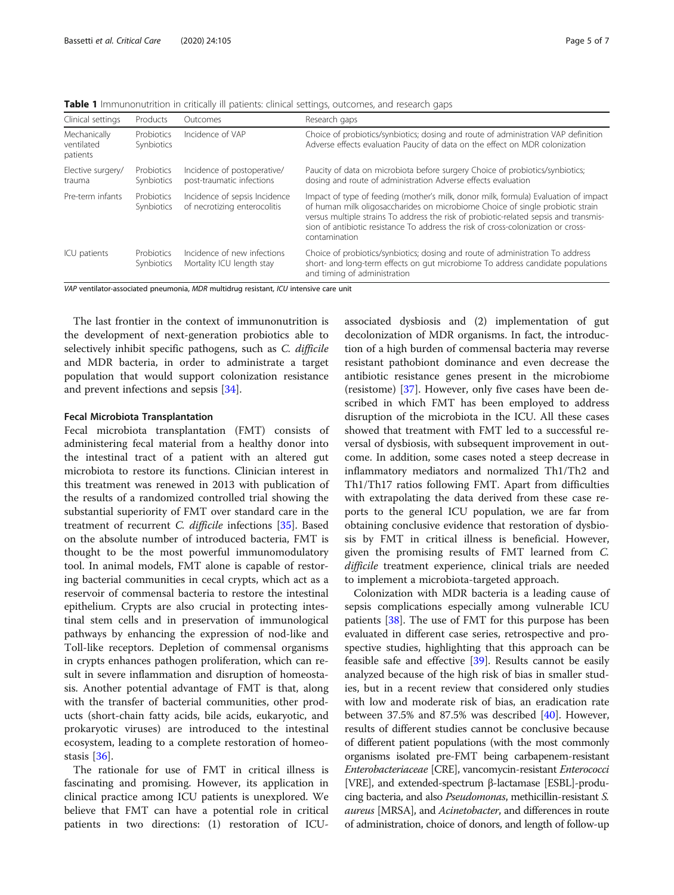<span id="page-4-0"></span>Table 1 Immunonutrition in critically ill patients: clinical settings, outcomes, and research gaps

| Clinical settings                      | Products                 | Outcomes                                                      | Research gaps                                                                                                                                                                                                                                                                                                                                                        |
|----------------------------------------|--------------------------|---------------------------------------------------------------|----------------------------------------------------------------------------------------------------------------------------------------------------------------------------------------------------------------------------------------------------------------------------------------------------------------------------------------------------------------------|
| Mechanically<br>ventilated<br>patients | Probiotics<br>Synbiotics | Incidence of VAP                                              | Choice of probiotics/synbiotics; dosing and route of administration VAP definition<br>Adverse effects evaluation Paucity of data on the effect on MDR colonization                                                                                                                                                                                                   |
| Elective surgery/<br>trauma            | Probiotics<br>Synbiotics | Incidence of postoperative/<br>post-traumatic infections      | Paucity of data on microbiota before surgery Choice of probiotics/synbiotics;<br>dosing and route of administration Adverse effects evaluation                                                                                                                                                                                                                       |
| Pre-term infants                       | Probiotics<br>Synbiotics | Incidence of sepsis Incidence<br>of necrotizing enterocolitis | Impact of type of feeding (mother's milk, donor milk, formula) Evaluation of impact<br>of human milk oligosaccharides on microbiome Choice of single probiotic strain<br>versus multiple strains To address the risk of probiotic-related sepsis and transmis-<br>sion of antibiotic resistance To address the risk of cross-colonization or cross-<br>contamination |
| ICU patients                           | Probiotics<br>Synbiotics | Incidence of new infections<br>Mortality ICU length stay      | Choice of probiotics/synbiotics; dosing and route of administration To address<br>short- and long-term effects on gut microbiome To address candidate populations<br>and timing of administration                                                                                                                                                                    |

VAP ventilator-associated pneumonia, MDR multidrug resistant, ICU intensive care unit

The last frontier in the context of immunonutrition is the development of next-generation probiotics able to selectively inhibit specific pathogens, such as *C. difficile* and MDR bacteria, in order to administrate a target population that would support colonization resistance and prevent infections and sepsis [[34](#page-6-0)].

#### Fecal Microbiota Transplantation

Fecal microbiota transplantation (FMT) consists of administering fecal material from a healthy donor into the intestinal tract of a patient with an altered gut microbiota to restore its functions. Clinician interest in this treatment was renewed in 2013 with publication of the results of a randomized controlled trial showing the substantial superiority of FMT over standard care in the treatment of recurrent C. difficile infections [[35\]](#page-6-0). Based on the absolute number of introduced bacteria, FMT is thought to be the most powerful immunomodulatory tool. In animal models, FMT alone is capable of restoring bacterial communities in cecal crypts, which act as a reservoir of commensal bacteria to restore the intestinal epithelium. Crypts are also crucial in protecting intestinal stem cells and in preservation of immunological pathways by enhancing the expression of nod-like and Toll-like receptors. Depletion of commensal organisms in crypts enhances pathogen proliferation, which can result in severe inflammation and disruption of homeostasis. Another potential advantage of FMT is that, along with the transfer of bacterial communities, other products (short-chain fatty acids, bile acids, eukaryotic, and prokaryotic viruses) are introduced to the intestinal ecosystem, leading to a complete restoration of homeostasis [[36\]](#page-6-0).

The rationale for use of FMT in critical illness is fascinating and promising. However, its application in clinical practice among ICU patients is unexplored. We believe that FMT can have a potential role in critical patients in two directions: (1) restoration of ICU-

associated dysbiosis and (2) implementation of gut decolonization of MDR organisms. In fact, the introduction of a high burden of commensal bacteria may reverse resistant pathobiont dominance and even decrease the antibiotic resistance genes present in the microbiome (resistome) [[37\]](#page-6-0). However, only five cases have been described in which FMT has been employed to address disruption of the microbiota in the ICU. All these cases showed that treatment with FMT led to a successful reversal of dysbiosis, with subsequent improvement in outcome. In addition, some cases noted a steep decrease in inflammatory mediators and normalized Th1/Th2 and Th1/Th17 ratios following FMT. Apart from difficulties with extrapolating the data derived from these case reports to the general ICU population, we are far from obtaining conclusive evidence that restoration of dysbiosis by FMT in critical illness is beneficial. However, given the promising results of FMT learned from C. difficile treatment experience, clinical trials are needed to implement a microbiota-targeted approach.

Colonization with MDR bacteria is a leading cause of sepsis complications especially among vulnerable ICU patients [\[38](#page-6-0)]. The use of FMT for this purpose has been evaluated in different case series, retrospective and prospective studies, highlighting that this approach can be feasible safe and effective [\[39](#page-6-0)]. Results cannot be easily analyzed because of the high risk of bias in smaller studies, but in a recent review that considered only studies with low and moderate risk of bias, an eradication rate between 37.5% and 87.5% was described [[40\]](#page-6-0). However, results of different studies cannot be conclusive because of different patient populations (with the most commonly organisms isolated pre-FMT being carbapenem-resistant Enterobacteriaceae [CRE], vancomycin-resistant Enterococci [VRE], and extended-spectrum β-lactamase [ESBL]-producing bacteria, and also Pseudomonas, methicillin-resistant S. aureus [MRSA], and Acinetobacter, and differences in route of administration, choice of donors, and length of follow-up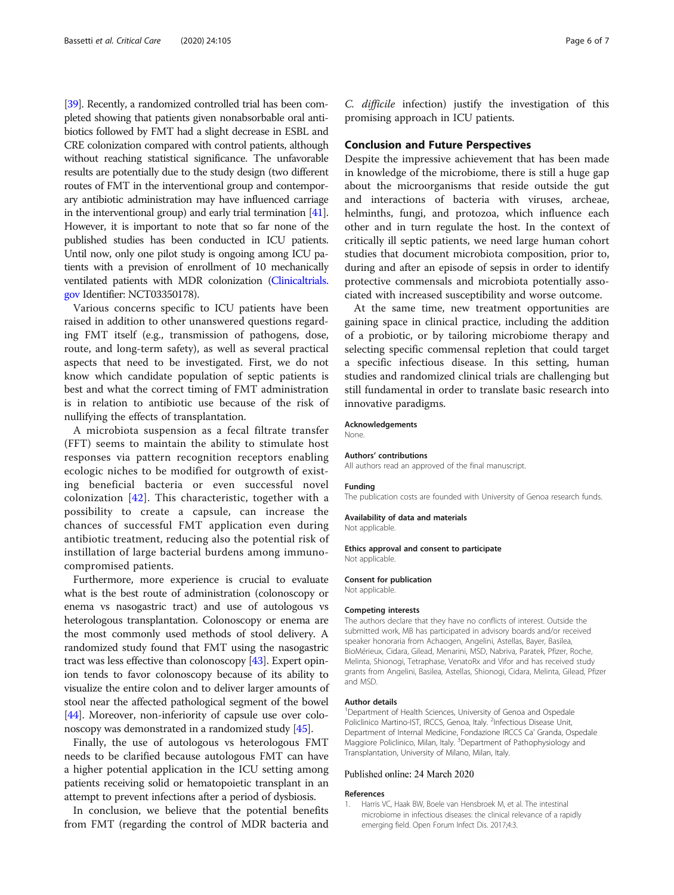<span id="page-5-0"></span>[[39](#page-6-0)]. Recently, a randomized controlled trial has been completed showing that patients given nonabsorbable oral antibiotics followed by FMT had a slight decrease in ESBL and CRE colonization compared with control patients, although without reaching statistical significance. The unfavorable results are potentially due to the study design (two different routes of FMT in the interventional group and contemporary antibiotic administration may have influenced carriage in the interventional group) and early trial termination [\[41](#page-6-0)]. However, it is important to note that so far none of the published studies has been conducted in ICU patients. Until now, only one pilot study is ongoing among ICU patients with a prevision of enrollment of 10 mechanically ventilated patients with MDR colonization [\(Clinicaltrials.](http://clinicaltrials.gov) [gov](http://clinicaltrials.gov) Identifier: NCT03350178).

Various concerns specific to ICU patients have been raised in addition to other unanswered questions regarding FMT itself (e.g., transmission of pathogens, dose, route, and long-term safety), as well as several practical aspects that need to be investigated. First, we do not know which candidate population of septic patients is best and what the correct timing of FMT administration is in relation to antibiotic use because of the risk of nullifying the effects of transplantation.

A microbiota suspension as a fecal filtrate transfer (FFT) seems to maintain the ability to stimulate host responses via pattern recognition receptors enabling ecologic niches to be modified for outgrowth of existing beneficial bacteria or even successful novel colonization [[42\]](#page-6-0). This characteristic, together with a possibility to create a capsule, can increase the chances of successful FMT application even during antibiotic treatment, reducing also the potential risk of instillation of large bacterial burdens among immunocompromised patients.

Furthermore, more experience is crucial to evaluate what is the best route of administration (colonoscopy or enema vs nasogastric tract) and use of autologous vs heterologous transplantation. Colonoscopy or enema are the most commonly used methods of stool delivery. A randomized study found that FMT using the nasogastric tract was less effective than colonoscopy [[43](#page-6-0)]. Expert opinion tends to favor colonoscopy because of its ability to visualize the entire colon and to deliver larger amounts of stool near the affected pathological segment of the bowel [[44](#page-6-0)]. Moreover, non-inferiority of capsule use over colonoscopy was demonstrated in a randomized study [\[45\]](#page-6-0).

Finally, the use of autologous vs heterologous FMT needs to be clarified because autologous FMT can have a higher potential application in the ICU setting among patients receiving solid or hematopoietic transplant in an attempt to prevent infections after a period of dysbiosis.

In conclusion, we believe that the potential benefits from FMT (regarding the control of MDR bacteria and C. difficile infection) justify the investigation of this promising approach in ICU patients.

### Conclusion and Future Perspectives

Despite the impressive achievement that has been made in knowledge of the microbiome, there is still a huge gap about the microorganisms that reside outside the gut and interactions of bacteria with viruses, archeae, helminths, fungi, and protozoa, which influence each other and in turn regulate the host. In the context of critically ill septic patients, we need large human cohort studies that document microbiota composition, prior to, during and after an episode of sepsis in order to identify protective commensals and microbiota potentially associated with increased susceptibility and worse outcome.

At the same time, new treatment opportunities are gaining space in clinical practice, including the addition of a probiotic, or by tailoring microbiome therapy and selecting specific commensal repletion that could target a specific infectious disease. In this setting, human studies and randomized clinical trials are challenging but still fundamental in order to translate basic research into innovative paradigms.

#### Acknowledgements

None.

#### Authors' contributions

All authors read an approved of the final manuscript.

#### Funding

The publication costs are founded with University of Genoa research funds.

# Availability of data and materials

Not applicable.

Ethics approval and consent to participate Not applicable.

Consent for publication

Not applicable.

#### Competing interests

The authors declare that they have no conflicts of interest. Outside the submitted work, MB has participated in advisory boards and/or received speaker honoraria from Achaogen, Angelini, Astellas, Bayer, Basilea, BioMérieux, Cidara, Gilead, Menarini, MSD, Nabriva, Paratek, Pfizer, Roche, Melinta, Shionogi, Tetraphase, VenatoRx and Vifor and has received study grants from Angelini, Basilea, Astellas, Shionogi, Cidara, Melinta, Gilead, Pfizer and MSD.

#### Author details

<sup>1</sup>Department of Health Sciences, University of Genoa and Ospedale Policlinico Martino-IST, IRCCS, Genoa, Italy. <sup>2</sup>Infectious Disease Unit Department of Internal Medicine, Fondazione IRCCS Ca' Granda, Ospedale Maggiore Policlinico, Milan, Italy. <sup>3</sup>Department of Pathophysiology and Transplantation, University of Milano, Milan, Italy.

#### Published online: 24 March 2020

#### References

Harris VC, Haak BW, Boele van Hensbroek M, et al. The intestinal microbiome in infectious diseases: the clinical relevance of a rapidly emerging field. Open Forum Infect Dis. 2017;4:3.